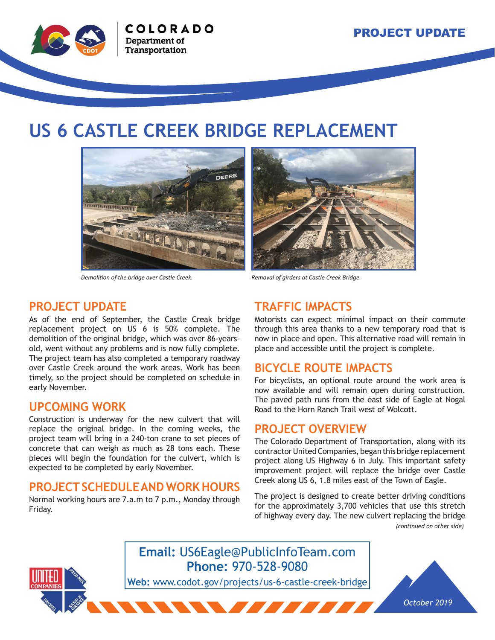

## **US 6 CASTLE CREEK BRIDGE REPLACEMENT**



*Demolition of the bridge over Castle Creek. Removal of girders at Castle Creek Bridge.*



#### **PROJECT UPDATE**

As of the end of September, the Castle Creak bridge replacement project on US 6 is 50% complete. The demolition of the original bridge, which was over 86-yearsold, went without any problems and is now fully complete. The project team has also completed a temporary roadway over Castle Creek around the work areas. Work has been timely, so the project should be completed on schedule in early November.

#### **UPCOMING WORK**

Construction is underway for the new culvert that will replace the original bridge. In the coming weeks, the project team will bring in a 240-ton crane to set pieces of concrete that can weigh as much as 28 tons each. These pieces will begin the foundation for the culvert, which is expected to be completed by early November.

#### **PROJECT SCHEDULE AND WORK HOURS**

Normal working hours are 7.a.m to 7 p.m., Monday through Friday.

#### **TRAFFIC IMPACTS**

Motorists can expect minimal impact on their commute through this area thanks to a new temporary road that is now in place and open. This alternative road will remain in place and accessible until the project is complete.

#### **BICYCLE ROUTE IMPACTS**

For bicyclists, an optional route around the work area is now available and will remain open during construction. The paved path runs from the east side of Eagle at Nogal Road to the Horn Ranch Trail west of Wolcott.

#### **PROJECT OVERVIEW**

The Colorado Department of Transportation, along with its contractor United Companies, began this bridge replacement project along US Highway 6 in July. This important safety improvement project will replace the bridge over Castle Creek along US 6, 1.8 miles east of the Town of Eagle.

The project is designed to create better driving conditions for the approximately 3,700 vehicles that use this stretch of highway every day. The new culvert replacing the bridge *(continued on other side)*



### **Email:** US6Eagle@PublicInfoTeam.com **Phone:** 970-528-9080

**Web:** www.codot.gov/projects/us-6-castle-creek-bridge